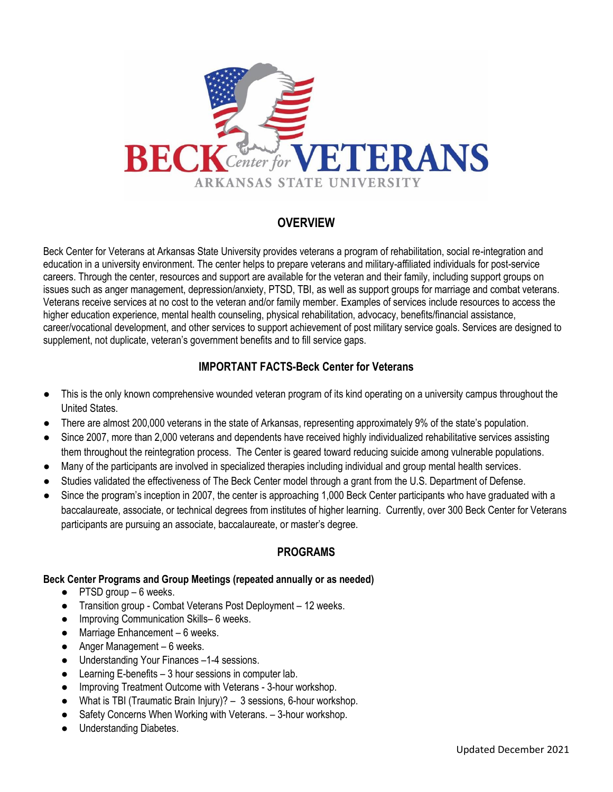

# **OVERVIEW**

Beck Center for Veterans at Arkansas State University provides veterans a program of rehabilitation, social re-integration and education in a university environment. The center helps to prepare veterans and military-affiliated individuals for post-service careers. Through the center, resources and support are available for the veteran and their family, including support groups on issues such as anger management, depression/anxiety, PTSD, TBI, as well as support groups for marriage and combat veterans. Veterans receive services at no cost to the veteran and/or family member. Examples of services include resources to access the higher education experience, mental health counseling, physical rehabilitation, advocacy, benefits/financial assistance, career/vocational development, and other services to support achievement of post military service goals. Services are designed to supplement, not duplicate, veteran's government benefits and to fill service gaps.

## **IMPORTANT FACTS-Beck Center for Veterans**

- This is the only known comprehensive wounded veteran program of its kind operating on a university campus throughout the United States.
- There are almost 200,000 veterans in the state of Arkansas, representing approximately 9% of the state's population.
- Since 2007, more than 2,000 veterans and dependents have received highly individualized rehabilitative services assisting them throughout the reintegration process. The Center is geared toward reducing suicide among vulnerable populations.
- Many of the participants are involved in specialized therapies including individual and group mental health services.
- Studies validated the effectiveness of The Beck Center model through a grant from the U.S. Department of Defense.
- Since the program's inception in 2007, the center is approaching 1,000 Beck Center participants who have graduated with a baccalaureate, associate, or technical degrees from institutes of higher learning. Currently, over 300 Beck Center for Veterans participants are pursuing an associate, baccalaureate, or master's degree.

### **PROGRAMS**

#### **Beck Center Programs and Group Meetings (repeated annually or as needed)**

- **●** PTSD group 6 weeks.
- **●** Transition group Combat Veterans Post Deployment 12 weeks.
- **●** Improving Communication Skills– 6 weeks.
- **●** Marriage Enhancement 6 weeks.
- **●** Anger Management 6 weeks.
- **●** Understanding Your Finances –1-4 sessions.
- **●** Learning E-benefits 3 hour sessions in computer lab.
- **●** Improving Treatment Outcome with Veterans 3-hour workshop.
- **●** What is TBI (Traumatic Brain Injury)? 3 sessions, 6-hour workshop.
- **●** Safety Concerns When Working with Veterans. 3-hour workshop.
- **●** Understanding Diabetes.